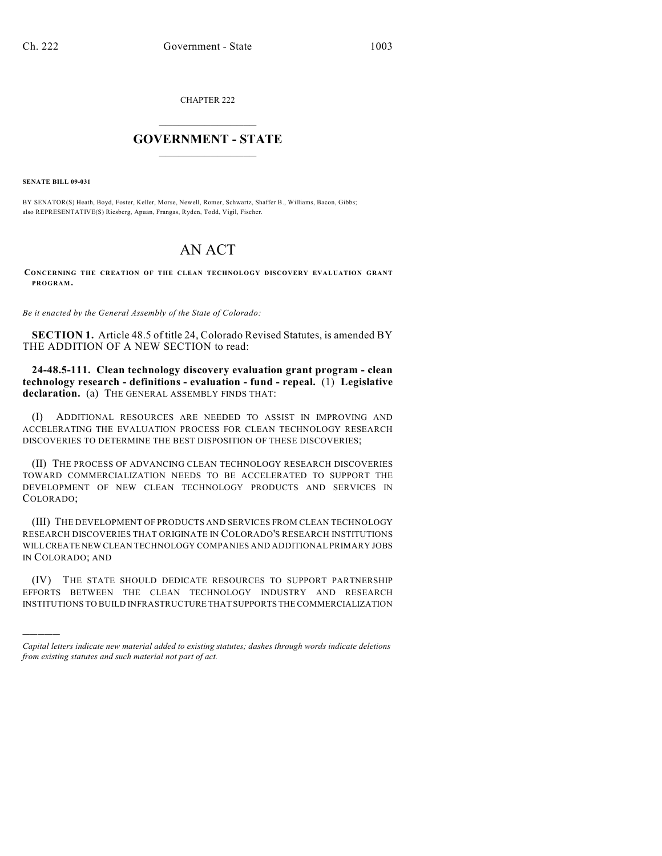CHAPTER 222

## $\mathcal{L}_\text{max}$  . The set of the set of the set of the set of the set of the set of the set of the set of the set of the set of the set of the set of the set of the set of the set of the set of the set of the set of the set **GOVERNMENT - STATE**  $\_$   $\_$   $\_$   $\_$   $\_$   $\_$   $\_$   $\_$

**SENATE BILL 09-031**

)))))

BY SENATOR(S) Heath, Boyd, Foster, Keller, Morse, Newell, Romer, Schwartz, Shaffer B., Williams, Bacon, Gibbs; also REPRESENTATIVE(S) Riesberg, Apuan, Frangas, Ryden, Todd, Vigil, Fischer.

## AN ACT

**CONCERNING THE CREATION OF THE CLEAN TECHNOLOGY DISCOVERY EVALUATION GRANT PROGRAM.**

*Be it enacted by the General Assembly of the State of Colorado:*

**SECTION 1.** Article 48.5 of title 24, Colorado Revised Statutes, is amended BY THE ADDITION OF A NEW SECTION to read:

**24-48.5-111. Clean technology discovery evaluation grant program - clean technology research - definitions - evaluation - fund - repeal.** (1) **Legislative declaration.** (a) THE GENERAL ASSEMBLY FINDS THAT:

(I) ADDITIONAL RESOURCES ARE NEEDED TO ASSIST IN IMPROVING AND ACCELERATING THE EVALUATION PROCESS FOR CLEAN TECHNOLOGY RESEARCH DISCOVERIES TO DETERMINE THE BEST DISPOSITION OF THESE DISCOVERIES;

(II) THE PROCESS OF ADVANCING CLEAN TECHNOLOGY RESEARCH DISCOVERIES TOWARD COMMERCIALIZATION NEEDS TO BE ACCELERATED TO SUPPORT THE DEVELOPMENT OF NEW CLEAN TECHNOLOGY PRODUCTS AND SERVICES IN COLORADO;

(III) THE DEVELOPMENT OF PRODUCTS AND SERVICES FROM CLEAN TECHNOLOGY RESEARCH DISCOVERIES THAT ORIGINATE IN COLORADO'S RESEARCH INSTITUTIONS WILL CREATE NEW CLEAN TECHNOLOGY COMPANIES AND ADDITIONAL PRIMARY JOBS IN COLORADO; AND

(IV) THE STATE SHOULD DEDICATE RESOURCES TO SUPPORT PARTNERSHIP EFFORTS BETWEEN THE CLEAN TECHNOLOGY INDUSTRY AND RESEARCH INSTITUTIONS TO BUILD INFRASTRUCTURE THAT SUPPORTS THE COMMERCIALIZATION

*Capital letters indicate new material added to existing statutes; dashes through words indicate deletions from existing statutes and such material not part of act.*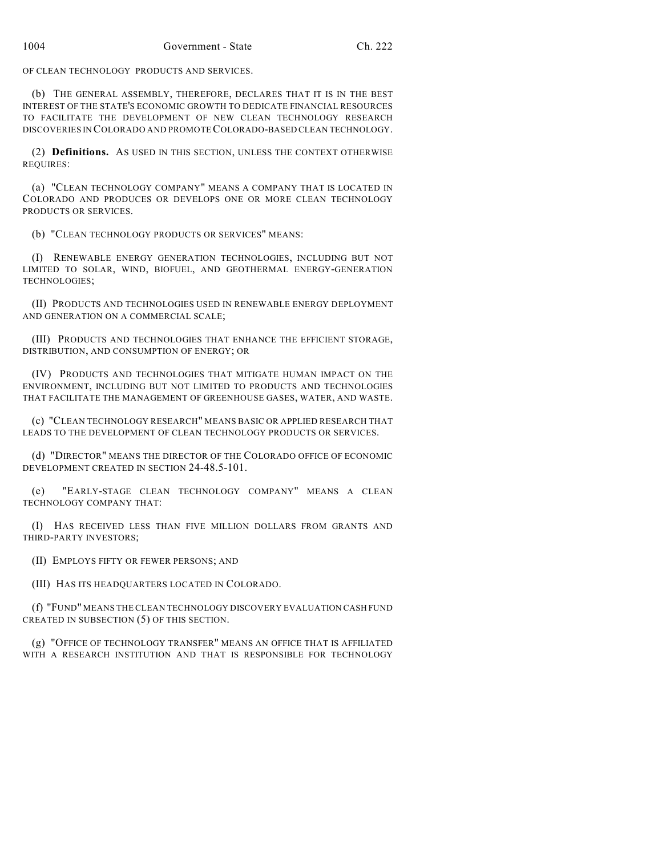OF CLEAN TECHNOLOGY PRODUCTS AND SERVICES.

(b) THE GENERAL ASSEMBLY, THEREFORE, DECLARES THAT IT IS IN THE BEST INTEREST OF THE STATE'S ECONOMIC GROWTH TO DEDICATE FINANCIAL RESOURCES TO FACILITATE THE DEVELOPMENT OF NEW CLEAN TECHNOLOGY RESEARCH DISCOVERIES IN COLORADO AND PROMOTE COLORADO-BASED CLEAN TECHNOLOGY.

(2) **Definitions.** AS USED IN THIS SECTION, UNLESS THE CONTEXT OTHERWISE REQUIRES:

(a) "CLEAN TECHNOLOGY COMPANY" MEANS A COMPANY THAT IS LOCATED IN COLORADO AND PRODUCES OR DEVELOPS ONE OR MORE CLEAN TECHNOLOGY PRODUCTS OR SERVICES.

(b) "CLEAN TECHNOLOGY PRODUCTS OR SERVICES" MEANS:

(I) RENEWABLE ENERGY GENERATION TECHNOLOGIES, INCLUDING BUT NOT LIMITED TO SOLAR, WIND, BIOFUEL, AND GEOTHERMAL ENERGY-GENERATION TECHNOLOGIES;

(II) PRODUCTS AND TECHNOLOGIES USED IN RENEWABLE ENERGY DEPLOYMENT AND GENERATION ON A COMMERCIAL SCALE;

(III) PRODUCTS AND TECHNOLOGIES THAT ENHANCE THE EFFICIENT STORAGE, DISTRIBUTION, AND CONSUMPTION OF ENERGY; OR

(IV) PRODUCTS AND TECHNOLOGIES THAT MITIGATE HUMAN IMPACT ON THE ENVIRONMENT, INCLUDING BUT NOT LIMITED TO PRODUCTS AND TECHNOLOGIES THAT FACILITATE THE MANAGEMENT OF GREENHOUSE GASES, WATER, AND WASTE.

(c) "CLEAN TECHNOLOGY RESEARCH" MEANS BASIC OR APPLIED RESEARCH THAT LEADS TO THE DEVELOPMENT OF CLEAN TECHNOLOGY PRODUCTS OR SERVICES.

(d) "DIRECTOR" MEANS THE DIRECTOR OF THE COLORADO OFFICE OF ECONOMIC DEVELOPMENT CREATED IN SECTION 24-48.5-101.

(e) "EARLY-STAGE CLEAN TECHNOLOGY COMPANY" MEANS A CLEAN TECHNOLOGY COMPANY THAT:

(I) HAS RECEIVED LESS THAN FIVE MILLION DOLLARS FROM GRANTS AND THIRD-PARTY INVESTORS;

(II) EMPLOYS FIFTY OR FEWER PERSONS; AND

(III) HAS ITS HEADQUARTERS LOCATED IN COLORADO.

(f) "FUND" MEANS THE CLEAN TECHNOLOGY DISCOVERY EVALUATION CASH FUND CREATED IN SUBSECTION (5) OF THIS SECTION.

(g) "OFFICE OF TECHNOLOGY TRANSFER" MEANS AN OFFICE THAT IS AFFILIATED WITH A RESEARCH INSTITUTION AND THAT IS RESPONSIBLE FOR TECHNOLOGY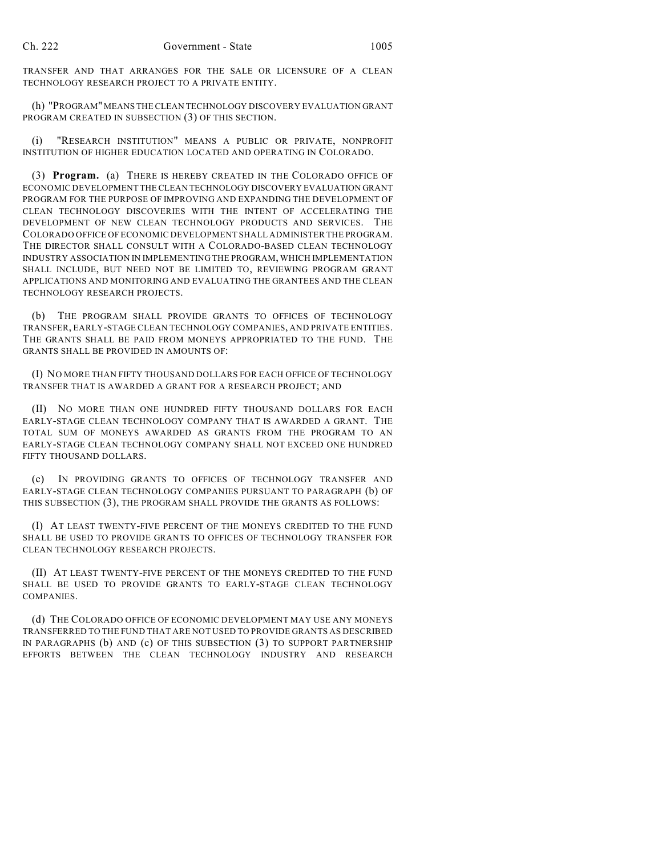TRANSFER AND THAT ARRANGES FOR THE SALE OR LICENSURE OF A CLEAN TECHNOLOGY RESEARCH PROJECT TO A PRIVATE ENTITY.

(h) "PROGRAM" MEANS THE CLEAN TECHNOLOGY DISCOVERY EVALUATION GRANT PROGRAM CREATED IN SUBSECTION (3) OF THIS SECTION.

(i) "RESEARCH INSTITUTION" MEANS A PUBLIC OR PRIVATE, NONPROFIT INSTITUTION OF HIGHER EDUCATION LOCATED AND OPERATING IN COLORADO.

(3) **Program.** (a) THERE IS HEREBY CREATED IN THE COLORADO OFFICE OF ECONOMIC DEVELOPMENT THE CLEAN TECHNOLOGY DISCOVERY EVALUATION GRANT PROGRAM FOR THE PURPOSE OF IMPROVING AND EXPANDING THE DEVELOPMENT OF CLEAN TECHNOLOGY DISCOVERIES WITH THE INTENT OF ACCELERATING THE DEVELOPMENT OF NEW CLEAN TECHNOLOGY PRODUCTS AND SERVICES. THE COLORADO OFFICE OF ECONOMIC DEVELOPMENT SHALL ADMINISTER THE PROGRAM. THE DIRECTOR SHALL CONSULT WITH A COLORADO-BASED CLEAN TECHNOLOGY INDUSTRY ASSOCIATION IN IMPLEMENTING THE PROGRAM, WHICH IMPLEMENTATION SHALL INCLUDE, BUT NEED NOT BE LIMITED TO, REVIEWING PROGRAM GRANT APPLICATIONS AND MONITORING AND EVALUATING THE GRANTEES AND THE CLEAN TECHNOLOGY RESEARCH PROJECTS.

(b) THE PROGRAM SHALL PROVIDE GRANTS TO OFFICES OF TECHNOLOGY TRANSFER, EARLY-STAGE CLEAN TECHNOLOGY COMPANIES, AND PRIVATE ENTITIES. THE GRANTS SHALL BE PAID FROM MONEYS APPROPRIATED TO THE FUND. THE GRANTS SHALL BE PROVIDED IN AMOUNTS OF:

(I) NO MORE THAN FIFTY THOUSAND DOLLARS FOR EACH OFFICE OF TECHNOLOGY TRANSFER THAT IS AWARDED A GRANT FOR A RESEARCH PROJECT; AND

(II) NO MORE THAN ONE HUNDRED FIFTY THOUSAND DOLLARS FOR EACH EARLY-STAGE CLEAN TECHNOLOGY COMPANY THAT IS AWARDED A GRANT. THE TOTAL SUM OF MONEYS AWARDED AS GRANTS FROM THE PROGRAM TO AN EARLY-STAGE CLEAN TECHNOLOGY COMPANY SHALL NOT EXCEED ONE HUNDRED FIFTY THOUSAND DOLLARS.

(c) IN PROVIDING GRANTS TO OFFICES OF TECHNOLOGY TRANSFER AND EARLY-STAGE CLEAN TECHNOLOGY COMPANIES PURSUANT TO PARAGRAPH (b) OF THIS SUBSECTION (3), THE PROGRAM SHALL PROVIDE THE GRANTS AS FOLLOWS:

(I) AT LEAST TWENTY-FIVE PERCENT OF THE MONEYS CREDITED TO THE FUND SHALL BE USED TO PROVIDE GRANTS TO OFFICES OF TECHNOLOGY TRANSFER FOR CLEAN TECHNOLOGY RESEARCH PROJECTS.

(II) AT LEAST TWENTY-FIVE PERCENT OF THE MONEYS CREDITED TO THE FUND SHALL BE USED TO PROVIDE GRANTS TO EARLY-STAGE CLEAN TECHNOLOGY COMPANIES.

(d) THE COLORADO OFFICE OF ECONOMIC DEVELOPMENT MAY USE ANY MONEYS TRANSFERRED TO THE FUND THAT ARE NOT USED TO PROVIDE GRANTS AS DESCRIBED IN PARAGRAPHS (b) AND (c) OF THIS SUBSECTION (3) TO SUPPORT PARTNERSHIP EFFORTS BETWEEN THE CLEAN TECHNOLOGY INDUSTRY AND RESEARCH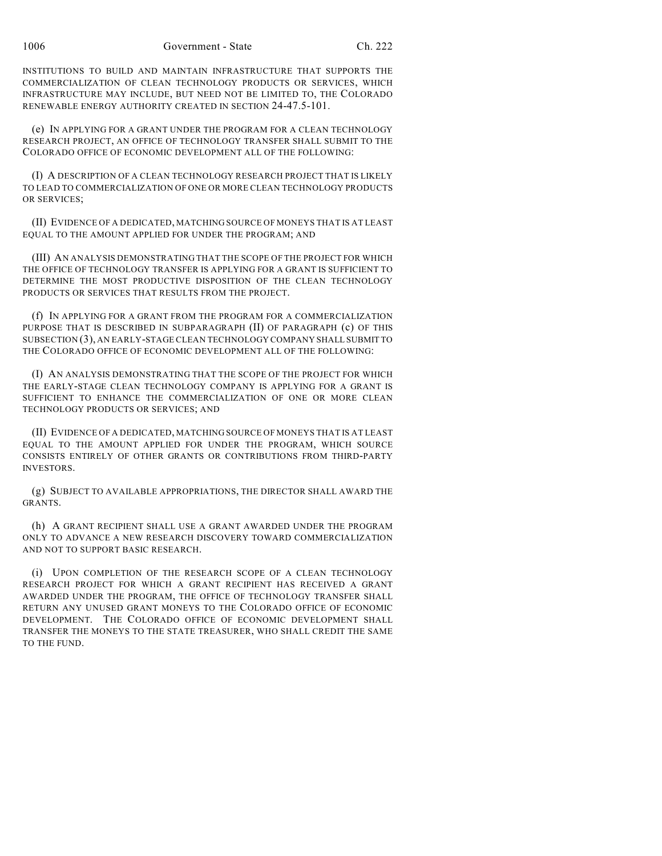INSTITUTIONS TO BUILD AND MAINTAIN INFRASTRUCTURE THAT SUPPORTS THE COMMERCIALIZATION OF CLEAN TECHNOLOGY PRODUCTS OR SERVICES, WHICH INFRASTRUCTURE MAY INCLUDE, BUT NEED NOT BE LIMITED TO, THE COLORADO RENEWABLE ENERGY AUTHORITY CREATED IN SECTION 24-47.5-101.

(e) IN APPLYING FOR A GRANT UNDER THE PROGRAM FOR A CLEAN TECHNOLOGY RESEARCH PROJECT, AN OFFICE OF TECHNOLOGY TRANSFER SHALL SUBMIT TO THE COLORADO OFFICE OF ECONOMIC DEVELOPMENT ALL OF THE FOLLOWING:

(I) A DESCRIPTION OF A CLEAN TECHNOLOGY RESEARCH PROJECT THAT IS LIKELY TO LEAD TO COMMERCIALIZATION OF ONE OR MORE CLEAN TECHNOLOGY PRODUCTS OR SERVICES;

(II) EVIDENCE OF A DEDICATED, MATCHING SOURCE OF MONEYS THAT IS AT LEAST EQUAL TO THE AMOUNT APPLIED FOR UNDER THE PROGRAM; AND

(III) AN ANALYSIS DEMONSTRATING THAT THE SCOPE OF THE PROJECT FOR WHICH THE OFFICE OF TECHNOLOGY TRANSFER IS APPLYING FOR A GRANT IS SUFFICIENT TO DETERMINE THE MOST PRODUCTIVE DISPOSITION OF THE CLEAN TECHNOLOGY PRODUCTS OR SERVICES THAT RESULTS FROM THE PROJECT.

(f) IN APPLYING FOR A GRANT FROM THE PROGRAM FOR A COMMERCIALIZATION PURPOSE THAT IS DESCRIBED IN SUBPARAGRAPH (II) OF PARAGRAPH (c) OF THIS SUBSECTION (3), AN EARLY-STAGE CLEAN TECHNOLOGY COMPANY SHALL SUBMIT TO THE COLORADO OFFICE OF ECONOMIC DEVELOPMENT ALL OF THE FOLLOWING:

(I) AN ANALYSIS DEMONSTRATING THAT THE SCOPE OF THE PROJECT FOR WHICH THE EARLY-STAGE CLEAN TECHNOLOGY COMPANY IS APPLYING FOR A GRANT IS SUFFICIENT TO ENHANCE THE COMMERCIALIZATION OF ONE OR MORE CLEAN TECHNOLOGY PRODUCTS OR SERVICES; AND

(II) EVIDENCE OF A DEDICATED, MATCHING SOURCE OF MONEYS THAT IS AT LEAST EQUAL TO THE AMOUNT APPLIED FOR UNDER THE PROGRAM, WHICH SOURCE CONSISTS ENTIRELY OF OTHER GRANTS OR CONTRIBUTIONS FROM THIRD-PARTY INVESTORS.

(g) SUBJECT TO AVAILABLE APPROPRIATIONS, THE DIRECTOR SHALL AWARD THE GRANTS.

(h) A GRANT RECIPIENT SHALL USE A GRANT AWARDED UNDER THE PROGRAM ONLY TO ADVANCE A NEW RESEARCH DISCOVERY TOWARD COMMERCIALIZATION AND NOT TO SUPPORT BASIC RESEARCH.

(i) UPON COMPLETION OF THE RESEARCH SCOPE OF A CLEAN TECHNOLOGY RESEARCH PROJECT FOR WHICH A GRANT RECIPIENT HAS RECEIVED A GRANT AWARDED UNDER THE PROGRAM, THE OFFICE OF TECHNOLOGY TRANSFER SHALL RETURN ANY UNUSED GRANT MONEYS TO THE COLORADO OFFICE OF ECONOMIC DEVELOPMENT. THE COLORADO OFFICE OF ECONOMIC DEVELOPMENT SHALL TRANSFER THE MONEYS TO THE STATE TREASURER, WHO SHALL CREDIT THE SAME TO THE FUND.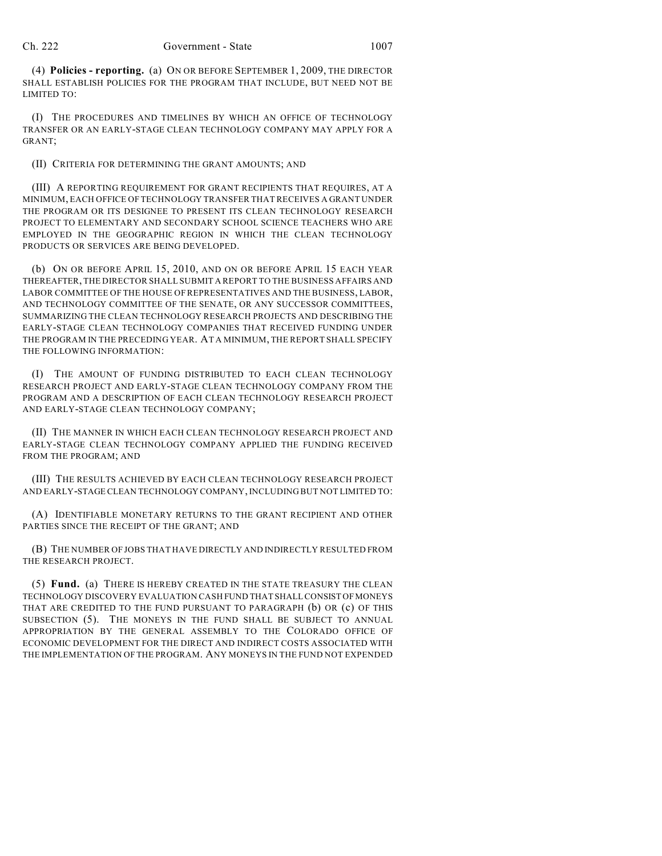(4) **Policies - reporting.** (a) ON OR BEFORE SEPTEMBER 1, 2009, THE DIRECTOR SHALL ESTABLISH POLICIES FOR THE PROGRAM THAT INCLUDE, BUT NEED NOT BE LIMITED TO:

(I) THE PROCEDURES AND TIMELINES BY WHICH AN OFFICE OF TECHNOLOGY TRANSFER OR AN EARLY-STAGE CLEAN TECHNOLOGY COMPANY MAY APPLY FOR A GRANT;

(II) CRITERIA FOR DETERMINING THE GRANT AMOUNTS; AND

(III) A REPORTING REQUIREMENT FOR GRANT RECIPIENTS THAT REQUIRES, AT A MINIMUM, EACH OFFICE OF TECHNOLOGY TRANSFER THAT RECEIVES A GRANT UNDER THE PROGRAM OR ITS DESIGNEE TO PRESENT ITS CLEAN TECHNOLOGY RESEARCH PROJECT TO ELEMENTARY AND SECONDARY SCHOOL SCIENCE TEACHERS WHO ARE EMPLOYED IN THE GEOGRAPHIC REGION IN WHICH THE CLEAN TECHNOLOGY PRODUCTS OR SERVICES ARE BEING DEVELOPED.

(b) ON OR BEFORE APRIL 15, 2010, AND ON OR BEFORE APRIL 15 EACH YEAR THEREAFTER, THE DIRECTOR SHALL SUBMIT A REPORT TO THE BUSINESS AFFAIRS AND LABOR COMMITTEE OF THE HOUSE OF REPRESENTATIVES AND THE BUSINESS, LABOR, AND TECHNOLOGY COMMITTEE OF THE SENATE, OR ANY SUCCESSOR COMMITTEES, SUMMARIZING THE CLEAN TECHNOLOGY RESEARCH PROJECTS AND DESCRIBING THE EARLY-STAGE CLEAN TECHNOLOGY COMPANIES THAT RECEIVED FUNDING UNDER THE PROGRAM IN THE PRECEDING YEAR. AT A MINIMUM, THE REPORT SHALL SPECIFY THE FOLLOWING INFORMATION:

(I) THE AMOUNT OF FUNDING DISTRIBUTED TO EACH CLEAN TECHNOLOGY RESEARCH PROJECT AND EARLY-STAGE CLEAN TECHNOLOGY COMPANY FROM THE PROGRAM AND A DESCRIPTION OF EACH CLEAN TECHNOLOGY RESEARCH PROJECT AND EARLY-STAGE CLEAN TECHNOLOGY COMPANY;

(II) THE MANNER IN WHICH EACH CLEAN TECHNOLOGY RESEARCH PROJECT AND EARLY-STAGE CLEAN TECHNOLOGY COMPANY APPLIED THE FUNDING RECEIVED FROM THE PROGRAM; AND

(III) THE RESULTS ACHIEVED BY EACH CLEAN TECHNOLOGY RESEARCH PROJECT AND EARLY-STAGE CLEAN TECHNOLOGY COMPANY, INCLUDING BUT NOT LIMITED TO:

(A) IDENTIFIABLE MONETARY RETURNS TO THE GRANT RECIPIENT AND OTHER PARTIES SINCE THE RECEIPT OF THE GRANT; AND

(B) THE NUMBER OF JOBS THAT HAVE DIRECTLY AND INDIRECTLY RESULTED FROM THE RESEARCH PROJECT.

(5) **Fund.** (a) THERE IS HEREBY CREATED IN THE STATE TREASURY THE CLEAN TECHNOLOGY DISCOVERY EVALUATION CASH FUND THAT SHALL CONSIST OF MONEYS THAT ARE CREDITED TO THE FUND PURSUANT TO PARAGRAPH (b) OR (c) OF THIS SUBSECTION (5). THE MONEYS IN THE FUND SHALL BE SUBJECT TO ANNUAL APPROPRIATION BY THE GENERAL ASSEMBLY TO THE COLORADO OFFICE OF ECONOMIC DEVELOPMENT FOR THE DIRECT AND INDIRECT COSTS ASSOCIATED WITH THE IMPLEMENTATION OF THE PROGRAM. ANY MONEYS IN THE FUND NOT EXPENDED